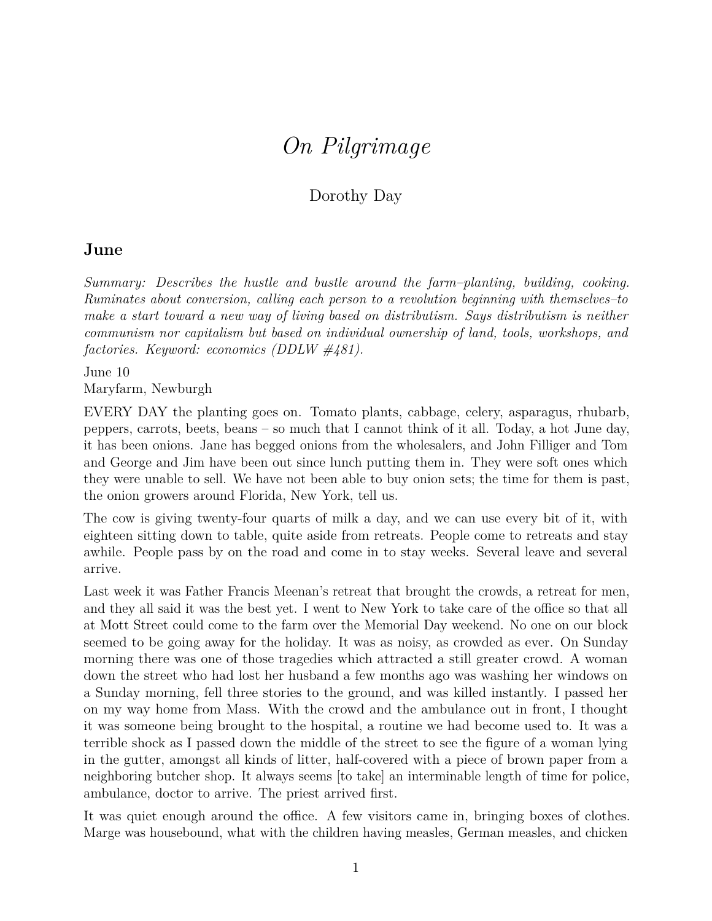## *On Pilgrimage*

## Dorothy Day

## **June**

*Summary: Describes the hustle and bustle around the farm–planting, building, cooking. Ruminates about conversion, calling each person to a revolution beginning with themselves–to make a start toward a new way of living based on distributism. Says distributism is neither communism nor capitalism but based on individual ownership of land, tools, workshops, and factories. Keyword: economics (DDLW #481).*

June 10 Maryfarm, Newburgh

EVERY DAY the planting goes on. Tomato plants, cabbage, celery, asparagus, rhubarb, peppers, carrots, beets, beans – so much that I cannot think of it all. Today, a hot June day, it has been onions. Jane has begged onions from the wholesalers, and John Filliger and Tom and George and Jim have been out since lunch putting them in. They were soft ones which they were unable to sell. We have not been able to buy onion sets; the time for them is past, the onion growers around Florida, New York, tell us.

The cow is giving twenty-four quarts of milk a day, and we can use every bit of it, with eighteen sitting down to table, quite aside from retreats. People come to retreats and stay awhile. People pass by on the road and come in to stay weeks. Several leave and several arrive.

Last week it was Father Francis Meenan's retreat that brought the crowds, a retreat for men, and they all said it was the best yet. I went to New York to take care of the office so that all at Mott Street could come to the farm over the Memorial Day weekend. No one on our block seemed to be going away for the holiday. It was as noisy, as crowded as ever. On Sunday morning there was one of those tragedies which attracted a still greater crowd. A woman down the street who had lost her husband a few months ago was washing her windows on a Sunday morning, fell three stories to the ground, and was killed instantly. I passed her on my way home from Mass. With the crowd and the ambulance out in front, I thought it was someone being brought to the hospital, a routine we had become used to. It was a terrible shock as I passed down the middle of the street to see the figure of a woman lying in the gutter, amongst all kinds of litter, half-covered with a piece of brown paper from a neighboring butcher shop. It always seems [to take] an interminable length of time for police, ambulance, doctor to arrive. The priest arrived first.

It was quiet enough around the office. A few visitors came in, bringing boxes of clothes. Marge was housebound, what with the children having measles, German measles, and chicken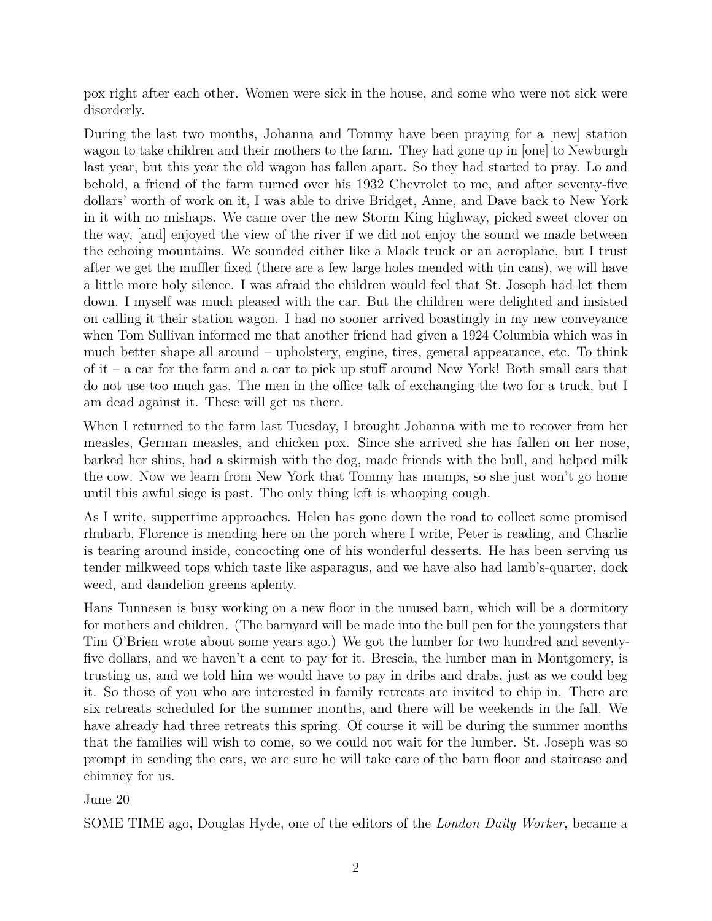pox right after each other. Women were sick in the house, and some who were not sick were disorderly.

During the last two months, Johanna and Tommy have been praying for a [new] station wagon to take children and their mothers to the farm. They had gone up in [one] to Newburgh last year, but this year the old wagon has fallen apart. So they had started to pray. Lo and behold, a friend of the farm turned over his 1932 Chevrolet to me, and after seventy-five dollars' worth of work on it, I was able to drive Bridget, Anne, and Dave back to New York in it with no mishaps. We came over the new Storm King highway, picked sweet clover on the way, [and] enjoyed the view of the river if we did not enjoy the sound we made between the echoing mountains. We sounded either like a Mack truck or an aeroplane, but I trust after we get the muffler fixed (there are a few large holes mended with tin cans), we will have a little more holy silence. I was afraid the children would feel that St. Joseph had let them down. I myself was much pleased with the car. But the children were delighted and insisted on calling it their station wagon. I had no sooner arrived boastingly in my new conveyance when Tom Sullivan informed me that another friend had given a 1924 Columbia which was in much better shape all around – upholstery, engine, tires, general appearance, etc. To think of it – a car for the farm and a car to pick up stuff around New York! Both small cars that do not use too much gas. The men in the office talk of exchanging the two for a truck, but I am dead against it. These will get us there.

When I returned to the farm last Tuesday, I brought Johanna with me to recover from her measles, German measles, and chicken pox. Since she arrived she has fallen on her nose, barked her shins, had a skirmish with the dog, made friends with the bull, and helped milk the cow. Now we learn from New York that Tommy has mumps, so she just won't go home until this awful siege is past. The only thing left is whooping cough.

As I write, suppertime approaches. Helen has gone down the road to collect some promised rhubarb, Florence is mending here on the porch where I write, Peter is reading, and Charlie is tearing around inside, concocting one of his wonderful desserts. He has been serving us tender milkweed tops which taste like asparagus, and we have also had lamb's-quarter, dock weed, and dandelion greens aplenty.

Hans Tunnesen is busy working on a new floor in the unused barn, which will be a dormitory for mothers and children. (The barnyard will be made into the bull pen for the youngsters that Tim O'Brien wrote about some years ago.) We got the lumber for two hundred and seventyfive dollars, and we haven't a cent to pay for it. Brescia, the lumber man in Montgomery, is trusting us, and we told him we would have to pay in dribs and drabs, just as we could beg it. So those of you who are interested in family retreats are invited to chip in. There are six retreats scheduled for the summer months, and there will be weekends in the fall. We have already had three retreats this spring. Of course it will be during the summer months that the families will wish to come, so we could not wait for the lumber. St. Joseph was so prompt in sending the cars, we are sure he will take care of the barn floor and staircase and chimney for us.

June 20

SOME TIME ago, Douglas Hyde, one of the editors of the *London Daily Worker,* became a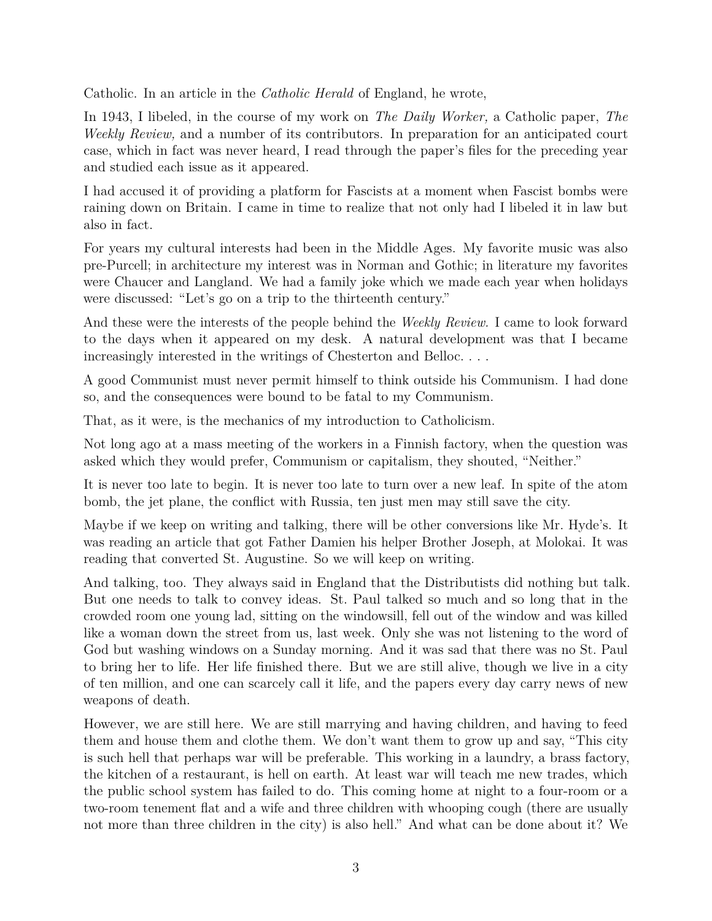Catholic. In an article in the *Catholic Herald* of England, he wrote,

In 1943, I libeled, in the course of my work on *The Daily Worker,* a Catholic paper, *The Weekly Review,* and a number of its contributors. In preparation for an anticipated court case, which in fact was never heard, I read through the paper's files for the preceding year and studied each issue as it appeared.

I had accused it of providing a platform for Fascists at a moment when Fascist bombs were raining down on Britain. I came in time to realize that not only had I libeled it in law but also in fact.

For years my cultural interests had been in the Middle Ages. My favorite music was also pre-Purcell; in architecture my interest was in Norman and Gothic; in literature my favorites were Chaucer and Langland. We had a family joke which we made each year when holidays were discussed: "Let's go on a trip to the thirteenth century."

And these were the interests of the people behind the *Weekly Review.* I came to look forward to the days when it appeared on my desk. A natural development was that I became increasingly interested in the writings of Chesterton and Belloc. . . .

A good Communist must never permit himself to think outside his Communism. I had done so, and the consequences were bound to be fatal to my Communism.

That, as it were, is the mechanics of my introduction to Catholicism.

Not long ago at a mass meeting of the workers in a Finnish factory, when the question was asked which they would prefer, Communism or capitalism, they shouted, "Neither."

It is never too late to begin. It is never too late to turn over a new leaf. In spite of the atom bomb, the jet plane, the conflict with Russia, ten just men may still save the city.

Maybe if we keep on writing and talking, there will be other conversions like Mr. Hyde's. It was reading an article that got Father Damien his helper Brother Joseph, at Molokai. It was reading that converted St. Augustine. So we will keep on writing.

And talking, too. They always said in England that the Distributists did nothing but talk. But one needs to talk to convey ideas. St. Paul talked so much and so long that in the crowded room one young lad, sitting on the windowsill, fell out of the window and was killed like a woman down the street from us, last week. Only she was not listening to the word of God but washing windows on a Sunday morning. And it was sad that there was no St. Paul to bring her to life. Her life finished there. But we are still alive, though we live in a city of ten million, and one can scarcely call it life, and the papers every day carry news of new weapons of death.

However, we are still here. We are still marrying and having children, and having to feed them and house them and clothe them. We don't want them to grow up and say, "This city is such hell that perhaps war will be preferable. This working in a laundry, a brass factory, the kitchen of a restaurant, is hell on earth. At least war will teach me new trades, which the public school system has failed to do. This coming home at night to a four-room or a two-room tenement flat and a wife and three children with whooping cough (there are usually not more than three children in the city) is also hell." And what can be done about it? We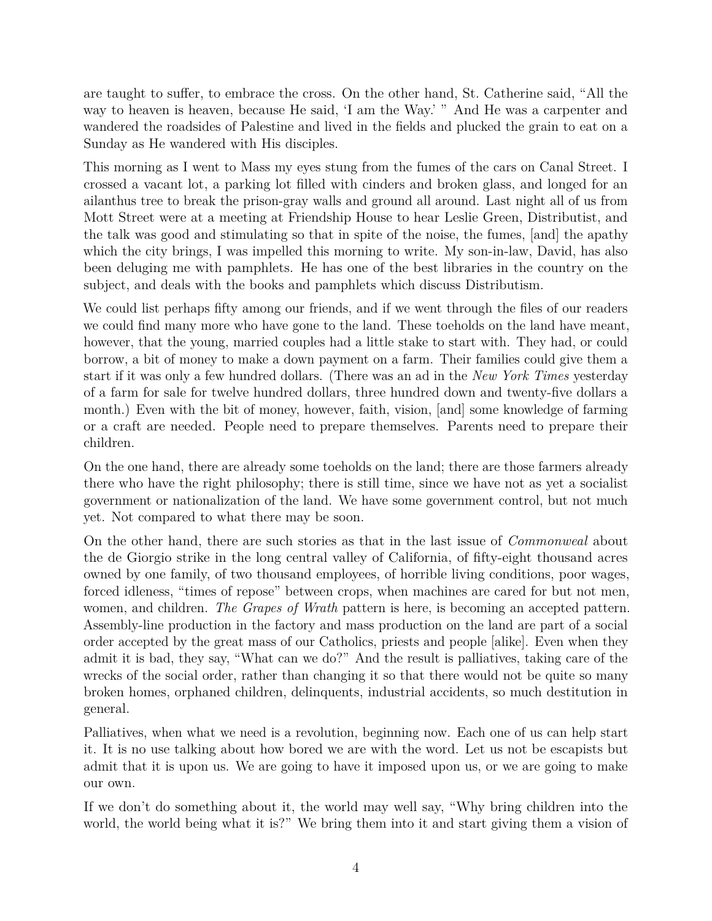are taught to suffer, to embrace the cross. On the other hand, St. Catherine said, "All the way to heaven is heaven, because He said, 'I am the Way.' " And He was a carpenter and wandered the roadsides of Palestine and lived in the fields and plucked the grain to eat on a Sunday as He wandered with His disciples.

This morning as I went to Mass my eyes stung from the fumes of the cars on Canal Street. I crossed a vacant lot, a parking lot filled with cinders and broken glass, and longed for an ailanthus tree to break the prison-gray walls and ground all around. Last night all of us from Mott Street were at a meeting at Friendship House to hear Leslie Green, Distributist, and the talk was good and stimulating so that in spite of the noise, the fumes, [and] the apathy which the city brings, I was impelled this morning to write. My son-in-law, David, has also been deluging me with pamphlets. He has one of the best libraries in the country on the subject, and deals with the books and pamphlets which discuss Distributism.

We could list perhaps fifty among our friends, and if we went through the files of our readers we could find many more who have gone to the land. These toeholds on the land have meant, however, that the young, married couples had a little stake to start with. They had, or could borrow, a bit of money to make a down payment on a farm. Their families could give them a start if it was only a few hundred dollars. (There was an ad in the *New York Times* yesterday of a farm for sale for twelve hundred dollars, three hundred down and twenty-five dollars a month.) Even with the bit of money, however, faith, vision, [and] some knowledge of farming or a craft are needed. People need to prepare themselves. Parents need to prepare their children.

On the one hand, there are already some toeholds on the land; there are those farmers already there who have the right philosophy; there is still time, since we have not as yet a socialist government or nationalization of the land. We have some government control, but not much yet. Not compared to what there may be soon.

On the other hand, there are such stories as that in the last issue of *Commonweal* about the de Giorgio strike in the long central valley of California, of fifty-eight thousand acres owned by one family, of two thousand employees, of horrible living conditions, poor wages, forced idleness, "times of repose" between crops, when machines are cared for but not men, women, and children. *The Grapes of Wrath* pattern is here, is becoming an accepted pattern. Assembly-line production in the factory and mass production on the land are part of a social order accepted by the great mass of our Catholics, priests and people [alike]. Even when they admit it is bad, they say, "What can we do?" And the result is palliatives, taking care of the wrecks of the social order, rather than changing it so that there would not be quite so many broken homes, orphaned children, delinquents, industrial accidents, so much destitution in general.

Palliatives, when what we need is a revolution, beginning now. Each one of us can help start it. It is no use talking about how bored we are with the word. Let us not be escapists but admit that it is upon us. We are going to have it imposed upon us, or we are going to make our own.

If we don't do something about it, the world may well say, "Why bring children into the world, the world being what it is?" We bring them into it and start giving them a vision of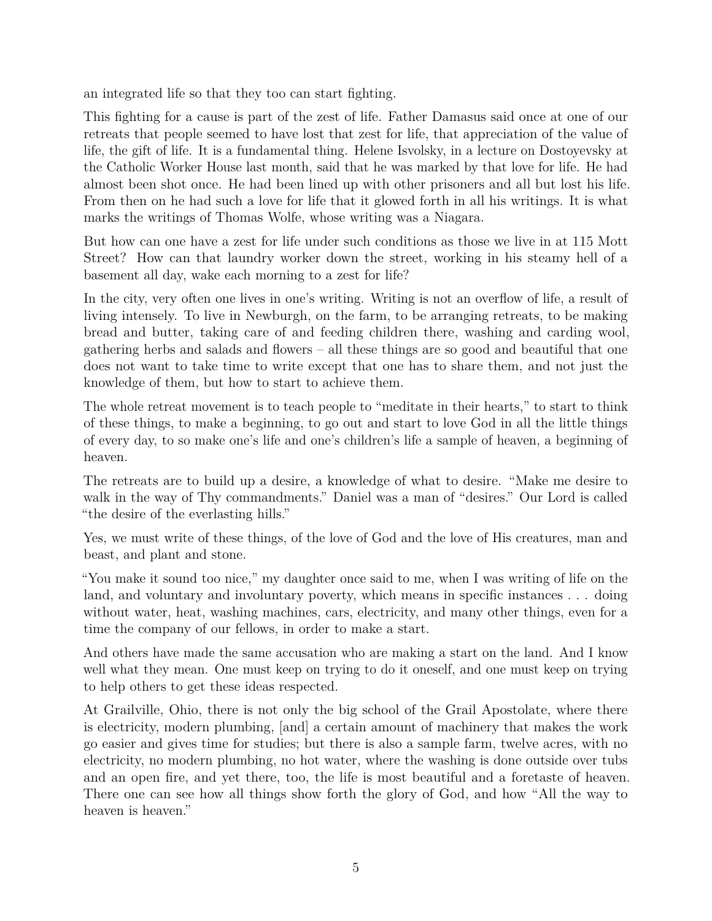an integrated life so that they too can start fighting.

This fighting for a cause is part of the zest of life. Father Damasus said once at one of our retreats that people seemed to have lost that zest for life, that appreciation of the value of life, the gift of life. It is a fundamental thing. Helene Isvolsky, in a lecture on Dostoyevsky at the Catholic Worker House last month, said that he was marked by that love for life. He had almost been shot once. He had been lined up with other prisoners and all but lost his life. From then on he had such a love for life that it glowed forth in all his writings. It is what marks the writings of Thomas Wolfe, whose writing was a Niagara.

But how can one have a zest for life under such conditions as those we live in at 115 Mott Street? How can that laundry worker down the street, working in his steamy hell of a basement all day, wake each morning to a zest for life?

In the city, very often one lives in one's writing. Writing is not an overflow of life, a result of living intensely. To live in Newburgh, on the farm, to be arranging retreats, to be making bread and butter, taking care of and feeding children there, washing and carding wool, gathering herbs and salads and flowers – all these things are so good and beautiful that one does not want to take time to write except that one has to share them, and not just the knowledge of them, but how to start to achieve them.

The whole retreat movement is to teach people to "meditate in their hearts," to start to think of these things, to make a beginning, to go out and start to love God in all the little things of every day, to so make one's life and one's children's life a sample of heaven, a beginning of heaven.

The retreats are to build up a desire, a knowledge of what to desire. "Make me desire to walk in the way of Thy commandments." Daniel was a man of "desires." Our Lord is called "the desire of the everlasting hills."

Yes, we must write of these things, of the love of God and the love of His creatures, man and beast, and plant and stone.

"You make it sound too nice," my daughter once said to me, when I was writing of life on the land, and voluntary and involuntary poverty, which means in specific instances . . . doing without water, heat, washing machines, cars, electricity, and many other things, even for a time the company of our fellows, in order to make a start.

And others have made the same accusation who are making a start on the land. And I know well what they mean. One must keep on trying to do it oneself, and one must keep on trying to help others to get these ideas respected.

At Grailville, Ohio, there is not only the big school of the Grail Apostolate, where there is electricity, modern plumbing, [and] a certain amount of machinery that makes the work go easier and gives time for studies; but there is also a sample farm, twelve acres, with no electricity, no modern plumbing, no hot water, where the washing is done outside over tubs and an open fire, and yet there, too, the life is most beautiful and a foretaste of heaven. There one can see how all things show forth the glory of God, and how "All the way to heaven is heaven."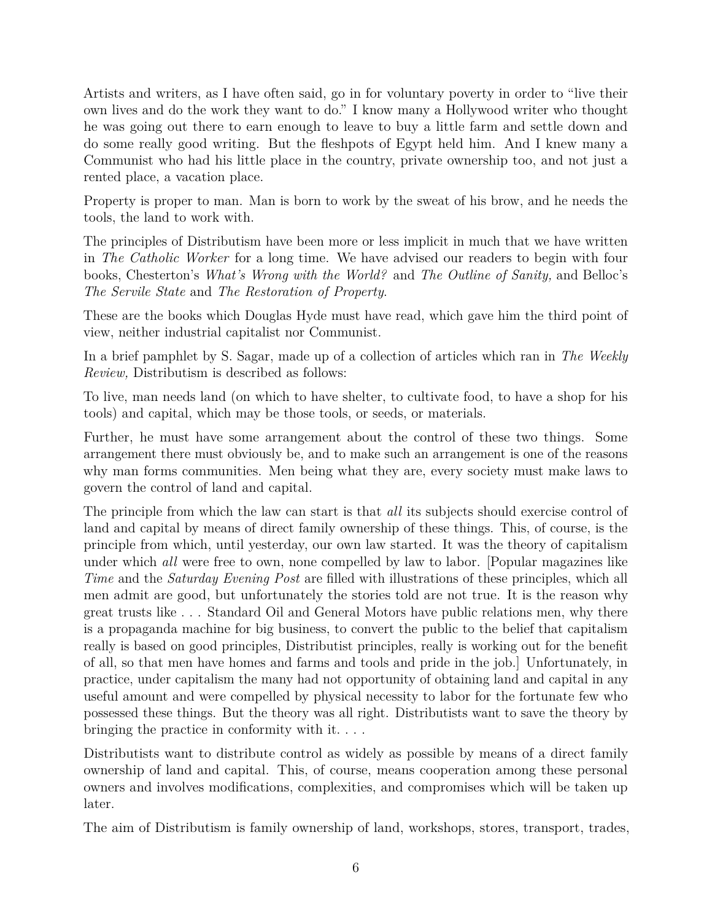Artists and writers, as I have often said, go in for voluntary poverty in order to "live their own lives and do the work they want to do." I know many a Hollywood writer who thought he was going out there to earn enough to leave to buy a little farm and settle down and do some really good writing. But the fleshpots of Egypt held him. And I knew many a Communist who had his little place in the country, private ownership too, and not just a rented place, a vacation place.

Property is proper to man. Man is born to work by the sweat of his brow, and he needs the tools, the land to work with.

The principles of Distributism have been more or less implicit in much that we have written in *The Catholic Worker* for a long time. We have advised our readers to begin with four books, Chesterton's *What's Wrong with the World?* and *The Outline of Sanity,* and Belloc's *The Servile State* and *The Restoration of Property*.

These are the books which Douglas Hyde must have read, which gave him the third point of view, neither industrial capitalist nor Communist.

In a brief pamphlet by S. Sagar, made up of a collection of articles which ran in *The Weekly Review,* Distributism is described as follows:

To live, man needs land (on which to have shelter, to cultivate food, to have a shop for his tools) and capital, which may be those tools, or seeds, or materials.

Further, he must have some arrangement about the control of these two things. Some arrangement there must obviously be, and to make such an arrangement is one of the reasons why man forms communities. Men being what they are, every society must make laws to govern the control of land and capital.

The principle from which the law can start is that *all* its subjects should exercise control of land and capital by means of direct family ownership of these things. This, of course, is the principle from which, until yesterday, our own law started. It was the theory of capitalism under which *all* were free to own, none compelled by law to labor. [Popular magazines like *Time* and the *Saturday Evening Post* are filled with illustrations of these principles, which all men admit are good, but unfortunately the stories told are not true. It is the reason why great trusts like . . . Standard Oil and General Motors have public relations men, why there is a propaganda machine for big business, to convert the public to the belief that capitalism really is based on good principles, Distributist principles, really is working out for the benefit of all, so that men have homes and farms and tools and pride in the job.] Unfortunately, in practice, under capitalism the many had not opportunity of obtaining land and capital in any useful amount and were compelled by physical necessity to labor for the fortunate few who possessed these things. But the theory was all right. Distributists want to save the theory by bringing the practice in conformity with it. . . .

Distributists want to distribute control as widely as possible by means of a direct family ownership of land and capital. This, of course, means cooperation among these personal owners and involves modifications, complexities, and compromises which will be taken up later.

The aim of Distributism is family ownership of land, workshops, stores, transport, trades,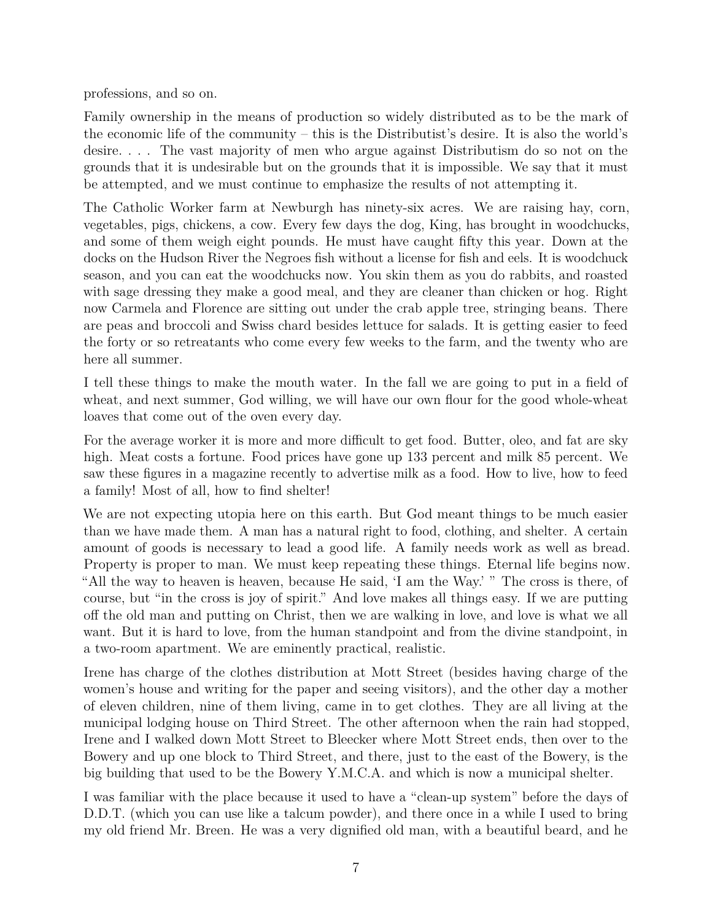professions, and so on.

Family ownership in the means of production so widely distributed as to be the mark of the economic life of the community – this is the Distributist's desire. It is also the world's desire. . . . The vast majority of men who argue against Distributism do so not on the grounds that it is undesirable but on the grounds that it is impossible. We say that it must be attempted, and we must continue to emphasize the results of not attempting it.

The Catholic Worker farm at Newburgh has ninety-six acres. We are raising hay, corn, vegetables, pigs, chickens, a cow. Every few days the dog, King, has brought in woodchucks, and some of them weigh eight pounds. He must have caught fifty this year. Down at the docks on the Hudson River the Negroes fish without a license for fish and eels. It is woodchuck season, and you can eat the woodchucks now. You skin them as you do rabbits, and roasted with sage dressing they make a good meal, and they are cleaner than chicken or hog. Right now Carmela and Florence are sitting out under the crab apple tree, stringing beans. There are peas and broccoli and Swiss chard besides lettuce for salads. It is getting easier to feed the forty or so retreatants who come every few weeks to the farm, and the twenty who are here all summer.

I tell these things to make the mouth water. In the fall we are going to put in a field of wheat, and next summer, God willing, we will have our own flour for the good whole-wheat loaves that come out of the oven every day.

For the average worker it is more and more difficult to get food. Butter, oleo, and fat are sky high. Meat costs a fortune. Food prices have gone up 133 percent and milk 85 percent. We saw these figures in a magazine recently to advertise milk as a food. How to live, how to feed a family! Most of all, how to find shelter!

We are not expecting utopia here on this earth. But God meant things to be much easier than we have made them. A man has a natural right to food, clothing, and shelter. A certain amount of goods is necessary to lead a good life. A family needs work as well as bread. Property is proper to man. We must keep repeating these things. Eternal life begins now. "All the way to heaven is heaven, because He said, 'I am the Way.' " The cross is there, of course, but "in the cross is joy of spirit." And love makes all things easy. If we are putting off the old man and putting on Christ, then we are walking in love, and love is what we all want. But it is hard to love, from the human standpoint and from the divine standpoint, in a two-room apartment. We are eminently practical, realistic.

Irene has charge of the clothes distribution at Mott Street (besides having charge of the women's house and writing for the paper and seeing visitors), and the other day a mother of eleven children, nine of them living, came in to get clothes. They are all living at the municipal lodging house on Third Street. The other afternoon when the rain had stopped, Irene and I walked down Mott Street to Bleecker where Mott Street ends, then over to the Bowery and up one block to Third Street, and there, just to the east of the Bowery, is the big building that used to be the Bowery Y.M.C.A. and which is now a municipal shelter.

I was familiar with the place because it used to have a "clean-up system" before the days of D.D.T. (which you can use like a talcum powder), and there once in a while I used to bring my old friend Mr. Breen. He was a very dignified old man, with a beautiful beard, and he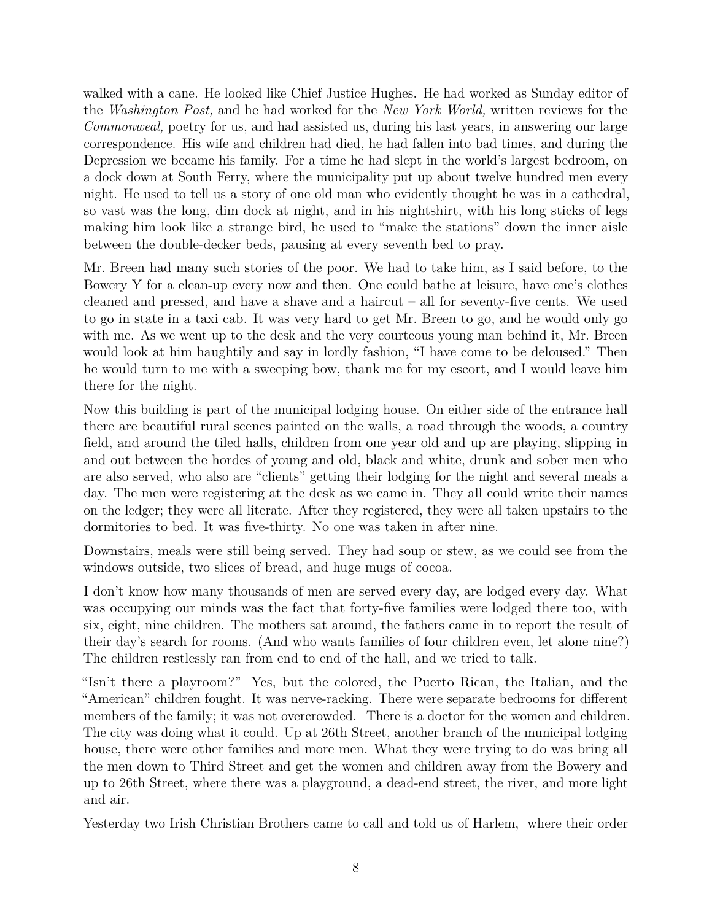walked with a cane. He looked like Chief Justice Hughes. He had worked as Sunday editor of the *Washington Post,* and he had worked for the *New York World,* written reviews for the *Commonweal,* poetry for us, and had assisted us, during his last years, in answering our large correspondence. His wife and children had died, he had fallen into bad times, and during the Depression we became his family. For a time he had slept in the world's largest bedroom, on a dock down at South Ferry, where the municipality put up about twelve hundred men every night. He used to tell us a story of one old man who evidently thought he was in a cathedral, so vast was the long, dim dock at night, and in his nightshirt, with his long sticks of legs making him look like a strange bird, he used to "make the stations" down the inner aisle between the double-decker beds, pausing at every seventh bed to pray.

Mr. Breen had many such stories of the poor. We had to take him, as I said before, to the Bowery Y for a clean-up every now and then. One could bathe at leisure, have one's clothes cleaned and pressed, and have a shave and a haircut – all for seventy-five cents. We used to go in state in a taxi cab. It was very hard to get Mr. Breen to go, and he would only go with me. As we went up to the desk and the very courteous young man behind it, Mr. Breen would look at him haughtily and say in lordly fashion, "I have come to be deloused." Then he would turn to me with a sweeping bow, thank me for my escort, and I would leave him there for the night.

Now this building is part of the municipal lodging house. On either side of the entrance hall there are beautiful rural scenes painted on the walls, a road through the woods, a country field, and around the tiled halls, children from one year old and up are playing, slipping in and out between the hordes of young and old, black and white, drunk and sober men who are also served, who also are "clients" getting their lodging for the night and several meals a day. The men were registering at the desk as we came in. They all could write their names on the ledger; they were all literate. After they registered, they were all taken upstairs to the dormitories to bed. It was five-thirty. No one was taken in after nine.

Downstairs, meals were still being served. They had soup or stew, as we could see from the windows outside, two slices of bread, and huge mugs of cocoa.

I don't know how many thousands of men are served every day, are lodged every day. What was occupying our minds was the fact that forty-five families were lodged there too, with six, eight, nine children. The mothers sat around, the fathers came in to report the result of their day's search for rooms. (And who wants families of four children even, let alone nine?) The children restlessly ran from end to end of the hall, and we tried to talk.

"Isn't there a playroom?" Yes, but the colored, the Puerto Rican, the Italian, and the "American" children fought. It was nerve-racking. There were separate bedrooms for different members of the family; it was not overcrowded. There is a doctor for the women and children. The city was doing what it could. Up at 26th Street, another branch of the municipal lodging house, there were other families and more men. What they were trying to do was bring all the men down to Third Street and get the women and children away from the Bowery and up to 26th Street, where there was a playground, a dead-end street, the river, and more light and air.

Yesterday two Irish Christian Brothers came to call and told us of Harlem, where their order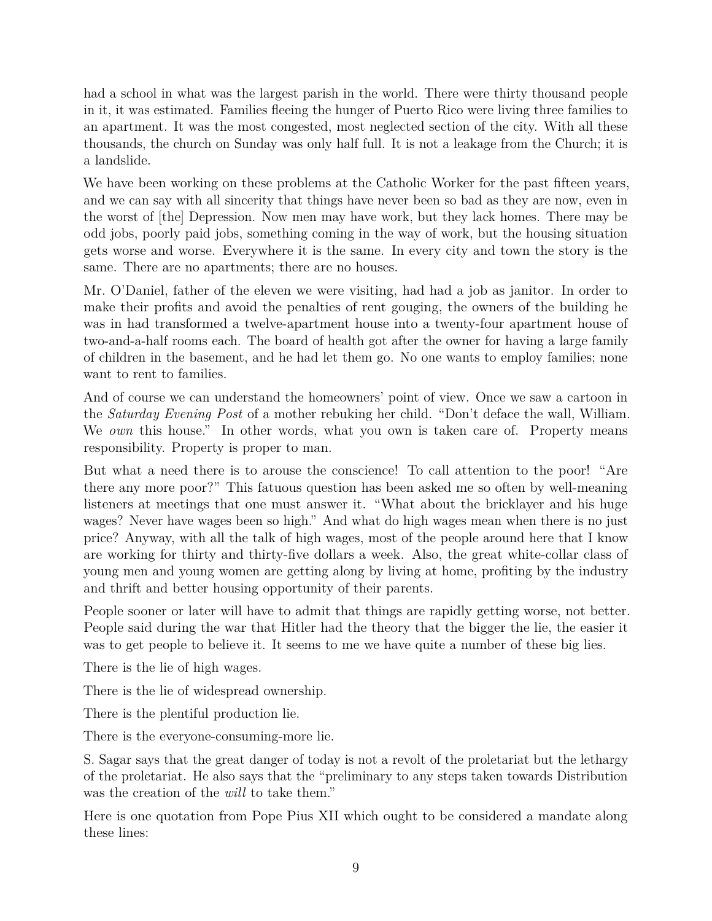had a school in what was the largest parish in the world. There were thirty thousand people in it, it was estimated. Families fleeing the hunger of Puerto Rico were living three families to an apartment. It was the most congested, most neglected section of the city. With all these thousands, the church on Sunday was only half full. It is not a leakage from the Church; it is a landslide.

We have been working on these problems at the Catholic Worker for the past fifteen years, and we can say with all sincerity that things have never been so bad as they are now, even in the worst of [the] Depression. Now men may have work, but they lack homes. There may be odd jobs, poorly paid jobs, something coming in the way of work, but the housing situation gets worse and worse. Everywhere it is the same. In every city and town the story is the same. There are no apartments; there are no houses.

Mr. O'Daniel, father of the eleven we were visiting, had had a job as janitor. In order to make their profits and avoid the penalties of rent gouging, the owners of the building he was in had transformed a twelve-apartment house into a twenty-four apartment house of two-and-a-half rooms each. The board of health got after the owner for having a large family of children in the basement, and he had let them go. No one wants to employ families; none want to rent to families.

And of course we can understand the homeowners' point of view. Once we saw a cartoon in the *Saturday Evening Post* of a mother rebuking her child. "Don't deface the wall, William. We *own* this house." In other words, what you own is taken care of. Property means responsibility. Property is proper to man.

But what a need there is to arouse the conscience! To call attention to the poor! "Are there any more poor?" This fatuous question has been asked me so often by well-meaning listeners at meetings that one must answer it. "What about the bricklayer and his huge wages? Never have wages been so high." And what do high wages mean when there is no just price? Anyway, with all the talk of high wages, most of the people around here that I know are working for thirty and thirty-five dollars a week. Also, the great white-collar class of young men and young women are getting along by living at home, profiting by the industry and thrift and better housing opportunity of their parents.

People sooner or later will have to admit that things are rapidly getting worse, not better. People said during the war that Hitler had the theory that the bigger the lie, the easier it was to get people to believe it. It seems to me we have quite a number of these big lies.

There is the lie of high wages.

There is the lie of widespread ownership.

There is the plentiful production lie.

There is the everyone-consuming-more lie.

S. Sagar says that the great danger of today is not a revolt of the proletariat but the lethargy of the proletariat. He also says that the "preliminary to any steps taken towards Distribution was the creation of the *will* to take them."

Here is one quotation from Pope Pius XII which ought to be considered a mandate along these lines: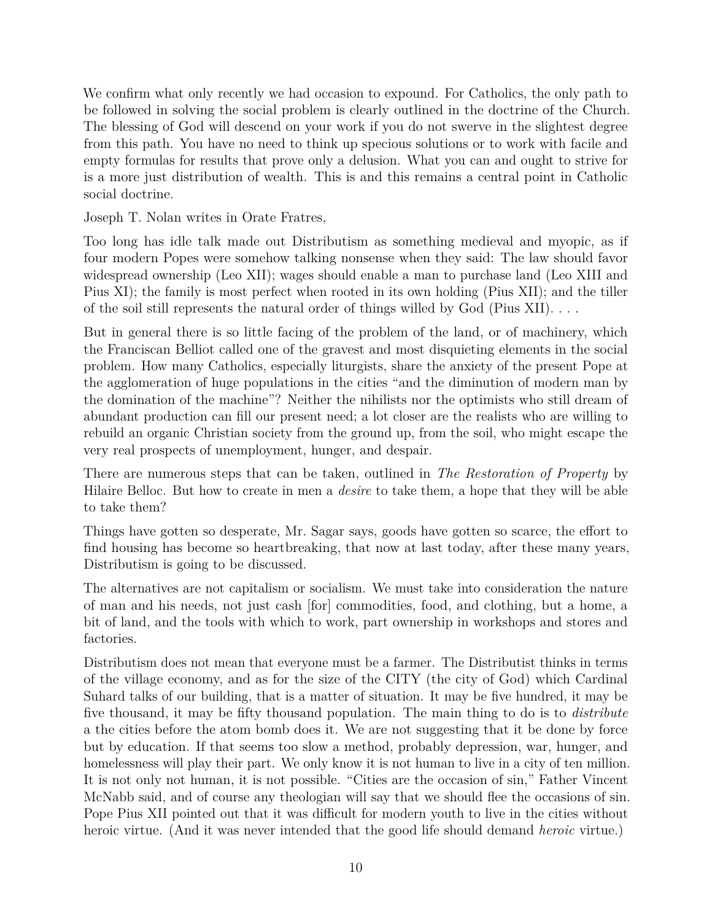We confirm what only recently we had occasion to expound. For Catholics, the only path to be followed in solving the social problem is clearly outlined in the doctrine of the Church. The blessing of God will descend on your work if you do not swerve in the slightest degree from this path. You have no need to think up specious solutions or to work with facile and empty formulas for results that prove only a delusion. What you can and ought to strive for is a more just distribution of wealth. This is and this remains a central point in Catholic social doctrine.

Joseph T. Nolan writes in Orate Fratres,

Too long has idle talk made out Distributism as something medieval and myopic, as if four modern Popes were somehow talking nonsense when they said: The law should favor widespread ownership (Leo XII); wages should enable a man to purchase land (Leo XIII and Pius XI); the family is most perfect when rooted in its own holding (Pius XII); and the tiller of the soil still represents the natural order of things willed by God (Pius XII). . . .

But in general there is so little facing of the problem of the land, or of machinery, which the Franciscan Belliot called one of the gravest and most disquieting elements in the social problem. How many Catholics, especially liturgists, share the anxiety of the present Pope at the agglomeration of huge populations in the cities "and the diminution of modern man by the domination of the machine"? Neither the nihilists nor the optimists who still dream of abundant production can fill our present need; a lot closer are the realists who are willing to rebuild an organic Christian society from the ground up, from the soil, who might escape the very real prospects of unemployment, hunger, and despair.

There are numerous steps that can be taken, outlined in *The Restoration of Property* by Hilaire Belloc. But how to create in men a *desire* to take them, a hope that they will be able to take them?

Things have gotten so desperate, Mr. Sagar says, goods have gotten so scarce, the effort to find housing has become so heartbreaking, that now at last today, after these many years, Distributism is going to be discussed.

The alternatives are not capitalism or socialism. We must take into consideration the nature of man and his needs, not just cash [for] commodities, food, and clothing, but a home, a bit of land, and the tools with which to work, part ownership in workshops and stores and factories.

Distributism does not mean that everyone must be a farmer. The Distributist thinks in terms of the village economy, and as for the size of the CITY (the city of God) which Cardinal Suhard talks of our building, that is a matter of situation. It may be five hundred, it may be five thousand, it may be fifty thousand population. The main thing to do is to *distribute* a the cities before the atom bomb does it. We are not suggesting that it be done by force but by education. If that seems too slow a method, probably depression, war, hunger, and homelessness will play their part. We only know it is not human to live in a city of ten million. It is not only not human, it is not possible. "Cities are the occasion of sin," Father Vincent McNabb said, and of course any theologian will say that we should flee the occasions of sin. Pope Pius XII pointed out that it was difficult for modern youth to live in the cities without heroic virtue. (And it was never intended that the good life should demand *heroic* virtue.)